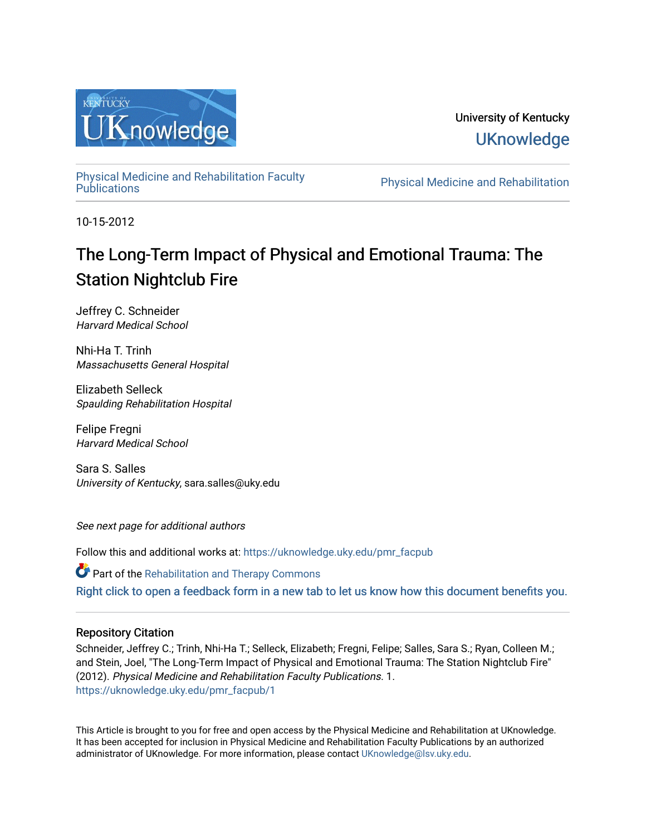

University of Kentucky **UKnowledge** 

[Physical Medicine and Rehabilitation Faculty](https://uknowledge.uky.edu/pmr_facpub) 

Physical Medicine and Rehabilitation

10-15-2012

# The Long-Term Impact of Physical and Emotional Trauma: The Station Nightclub Fire

Jeffrey C. Schneider Harvard Medical School

Nhi-Ha T. Trinh Massachusetts General Hospital

Elizabeth Selleck Spaulding Rehabilitation Hospital

Felipe Fregni Harvard Medical School

Sara S. Salles University of Kentucky, sara.salles@uky.edu

See next page for additional authors

Follow this and additional works at: [https://uknowledge.uky.edu/pmr\\_facpub](https://uknowledge.uky.edu/pmr_facpub?utm_source=uknowledge.uky.edu%2Fpmr_facpub%2F1&utm_medium=PDF&utm_campaign=PDFCoverPages) 

Part of the [Rehabilitation and Therapy Commons](http://network.bepress.com/hgg/discipline/749?utm_source=uknowledge.uky.edu%2Fpmr_facpub%2F1&utm_medium=PDF&utm_campaign=PDFCoverPages)  [Right click to open a feedback form in a new tab to let us know how this document benefits you.](https://uky.az1.qualtrics.com/jfe/form/SV_9mq8fx2GnONRfz7)

### Repository Citation

Schneider, Jeffrey C.; Trinh, Nhi-Ha T.; Selleck, Elizabeth; Fregni, Felipe; Salles, Sara S.; Ryan, Colleen M.; and Stein, Joel, "The Long-Term Impact of Physical and Emotional Trauma: The Station Nightclub Fire" (2012). Physical Medicine and Rehabilitation Faculty Publications. 1. [https://uknowledge.uky.edu/pmr\\_facpub/1](https://uknowledge.uky.edu/pmr_facpub/1?utm_source=uknowledge.uky.edu%2Fpmr_facpub%2F1&utm_medium=PDF&utm_campaign=PDFCoverPages)

This Article is brought to you for free and open access by the Physical Medicine and Rehabilitation at UKnowledge. It has been accepted for inclusion in Physical Medicine and Rehabilitation Faculty Publications by an authorized administrator of UKnowledge. For more information, please contact [UKnowledge@lsv.uky.edu](mailto:UKnowledge@lsv.uky.edu).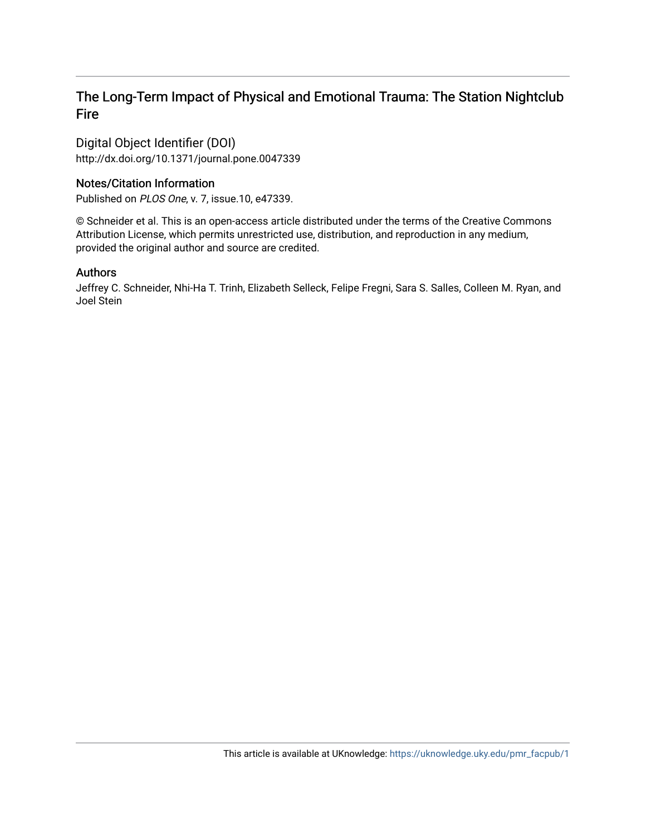# The Long-Term Impact of Physical and Emotional Trauma: The Station Nightclub Fire

Digital Object Identifier (DOI) http://dx.doi.org/10.1371/journal.pone.0047339

# Notes/Citation Information

Published on PLOS One, v. 7, issue.10, e47339.

© Schneider et al. This is an open-access article distributed under the terms of the Creative Commons Attribution License, which permits unrestricted use, distribution, and reproduction in any medium, provided the original author and source are credited.

## Authors

Jeffrey C. Schneider, Nhi-Ha T. Trinh, Elizabeth Selleck, Felipe Fregni, Sara S. Salles, Colleen M. Ryan, and Joel Stein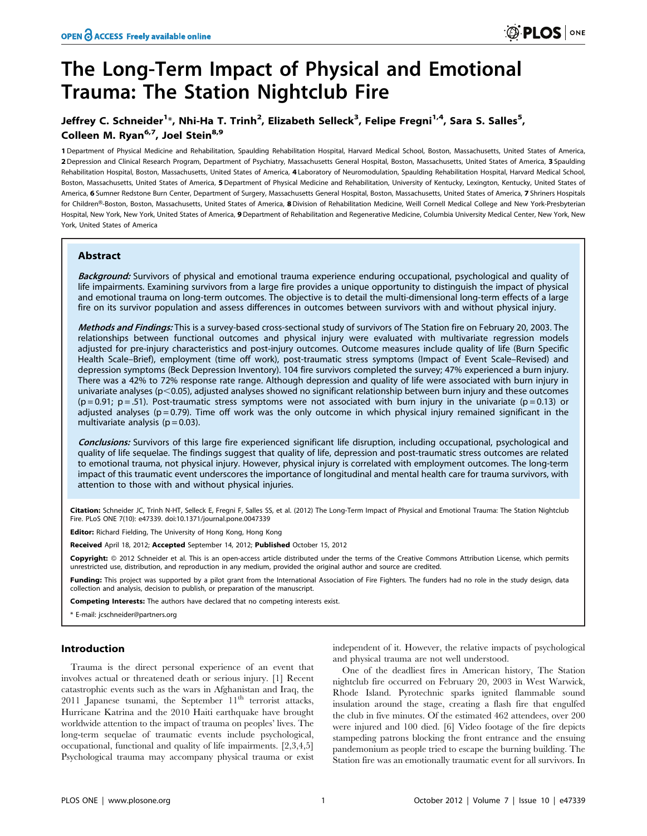1 Department of Physical Medicine and Rehabilitation, Spaulding Rehabilitation Hospital, Harvard Medical School, Boston, Massachusetts, United States of America, 2 Depression and Clinical Research Program, Department of Psychiatry, Massachusetts General Hospital, Boston, Massachusetts, United States of America, 3 Spaulding Rehabilitation Hospital, Boston, Massachusetts, United States of America, 4 Laboratory of Neuromodulation, Spaulding Rehabilitation Hospital, Harvard Medical School, Boston, Massachusetts, United States of America, 5 Department of Physical Medicine and Rehabilitation, University of Kentucky, Lexington, Kentucky, United States of America, 6 Sumner Redstone Burn Center, Department of Surgery, Massachusetts General Hospital, Boston, Massachusetts, United States of America, 7 Shriners Hospitals for Children®-Boston, Boston, Massachusetts, United States of America, 8 Division of Rehabilitation Medicine, Weill Cornell Medical College and New York-Presbyterian Hospital, New York, New York, United States of America, 9 Department of Rehabilitation and Regenerative Medicine, Columbia University Medical Center, New York, New York, United States of America

#### Abstract

Background: Survivors of physical and emotional trauma experience enduring occupational, psychological and quality of life impairments. Examining survivors from a large fire provides a unique opportunity to distinguish the impact of physical and emotional trauma on long-term outcomes. The objective is to detail the multi-dimensional long-term effects of a large fire on its survivor population and assess differences in outcomes between survivors with and without physical injury.

Methods and Findings: This is a survey-based cross-sectional study of survivors of The Station fire on February 20, 2003. The relationships between functional outcomes and physical injury were evaluated with multivariate regression models adjusted for pre-injury characteristics and post-injury outcomes. Outcome measures include quality of life (Burn Specific Health Scale–Brief), employment (time off work), post-traumatic stress symptoms (Impact of Event Scale–Revised) and depression symptoms (Beck Depression Inventory). 104 fire survivors completed the survey; 47% experienced a burn injury. There was a 42% to 72% response rate range. Although depression and quality of life were associated with burn injury in univariate analyses (p $<$ 0.05), adjusted analyses showed no significant relationship between burn injury and these outcomes  $(p=0.91; p=.51)$ . Post-traumatic stress symptoms were not associated with burn injury in the univariate ( $p=0.13$ ) or adjusted analyses ( $p = 0.79$ ). Time off work was the only outcome in which physical injury remained significant in the multivariate analysis ( $p = 0.03$ ).

Conclusions: Survivors of this large fire experienced significant life disruption, including occupational, psychological and quality of life sequelae. The findings suggest that quality of life, depression and post-traumatic stress outcomes are related to emotional trauma, not physical injury. However, physical injury is correlated with employment outcomes. The long-term impact of this traumatic event underscores the importance of longitudinal and mental health care for trauma survivors, with attention to those with and without physical injuries.

Citation: Schneider JC, Trinh N-HT, Selleck E, Fregni F, Salles SS, et al. (2012) The Long-Term Impact of Physical and Emotional Trauma: The Station Nightclub Fire. PLoS ONE 7(10): e47339. doi:10.1371/journal.pone.0047339

Editor: Richard Fielding, The University of Hong Kong, Hong Kong

Received April 18, 2012; Accepted September 14, 2012; Published October 15, 2012

Copyright: © 2012 Schneider et al. This is an open-access article distributed under the terms of the Creative Commons Attribution License, which permits unrestricted use, distribution, and reproduction in any medium, provided the original author and source are credited.

Funding: This project was supported by a pilot grant from the International Association of Fire Fighters. The funders had no role in the study design, data collection and analysis, decision to publish, or preparation of the manuscript.

Competing Interests: The authors have declared that no competing interests exist.

\* E-mail: jcschneider@partners.org

#### Introduction

Trauma is the direct personal experience of an event that involves actual or threatened death or serious injury. [1] Recent catastrophic events such as the wars in Afghanistan and Iraq, the 2011 Japanese tsunami, the September  $11<sup>th</sup>$  terrorist attacks, Hurricane Katrina and the 2010 Haiti earthquake have brought worldwide attention to the impact of trauma on peoples' lives. The long-term sequelae of traumatic events include psychological, occupational, functional and quality of life impairments. [2,3,4,5] Psychological trauma may accompany physical trauma or exist

independent of it. However, the relative impacts of psychological and physical trauma are not well understood.

One of the deadliest fires in American history, The Station nightclub fire occurred on February 20, 2003 in West Warwick, Rhode Island. Pyrotechnic sparks ignited flammable sound insulation around the stage, creating a flash fire that engulfed the club in five minutes. Of the estimated 462 attendees, over 200 were injured and 100 died. [6] Video footage of the fire depicts stampeding patrons blocking the front entrance and the ensuing pandemonium as people tried to escape the burning building. The Station fire was an emotionally traumatic event for all survivors. In

**)** PLOS ONE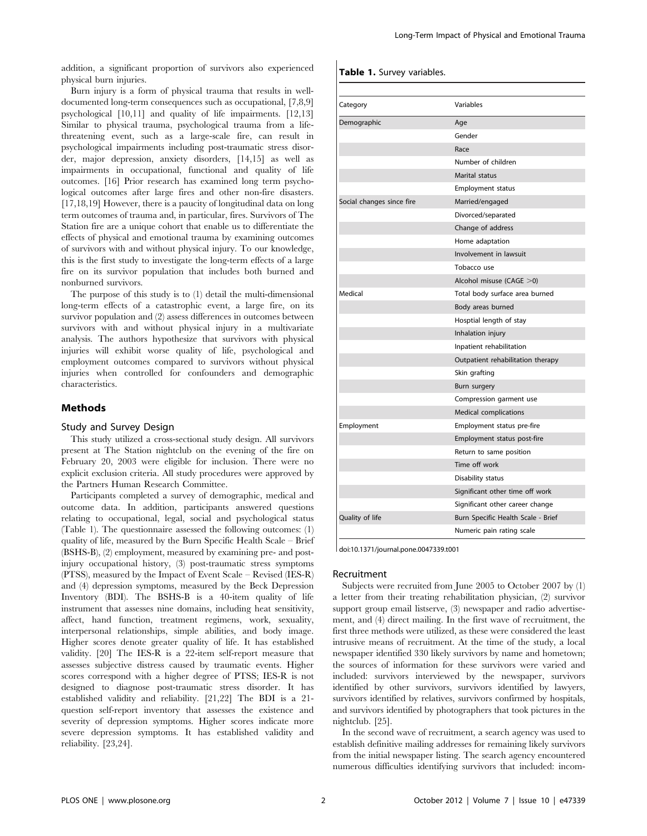addition, a significant proportion of survivors also experienced physical burn injuries.

Burn injury is a form of physical trauma that results in welldocumented long-term consequences such as occupational, [7,8,9] psychological [10,11] and quality of life impairments. [12,13] Similar to physical trauma, psychological trauma from a lifethreatening event, such as a large-scale fire, can result in psychological impairments including post-traumatic stress disorder, major depression, anxiety disorders, [14,15] as well as impairments in occupational, functional and quality of life outcomes. [16] Prior research has examined long term psychological outcomes after large fires and other non-fire disasters. [17,18,19] However, there is a paucity of longitudinal data on long term outcomes of trauma and, in particular, fires. Survivors of The Station fire are a unique cohort that enable us to differentiate the effects of physical and emotional trauma by examining outcomes of survivors with and without physical injury. To our knowledge, this is the first study to investigate the long-term effects of a large fire on its survivor population that includes both burned and nonburned survivors.

The purpose of this study is to (1) detail the multi-dimensional long-term effects of a catastrophic event, a large fire, on its survivor population and (2) assess differences in outcomes between survivors with and without physical injury in a multivariate analysis. The authors hypothesize that survivors with physical injuries will exhibit worse quality of life, psychological and employment outcomes compared to survivors without physical injuries when controlled for confounders and demographic characteristics.

#### **Methods**

#### Study and Survey Design

This study utilized a cross-sectional study design. All survivors present at The Station nightclub on the evening of the fire on February 20, 2003 were eligible for inclusion. There were no explicit exclusion criteria. All study procedures were approved by the Partners Human Research Committee.

Participants completed a survey of demographic, medical and outcome data. In addition, participants answered questions relating to occupational, legal, social and psychological status (Table 1). The questionnaire assessed the following outcomes: (1) quality of life, measured by the Burn Specific Health Scale – Brief (BSHS-B), (2) employment, measured by examining pre- and postinjury occupational history, (3) post-traumatic stress symptoms (PTSS), measured by the Impact of Event Scale – Revised (IES-R) and (4) depression symptoms, measured by the Beck Depression Inventory (BDI). The BSHS-B is a 40-item quality of life instrument that assesses nine domains, including heat sensitivity, affect, hand function, treatment regimens, work, sexuality, interpersonal relationships, simple abilities, and body image. Higher scores denote greater quality of life. It has established validity. [20] The IES-R is a 22-item self-report measure that assesses subjective distress caused by traumatic events. Higher scores correspond with a higher degree of PTSS; IES-R is not designed to diagnose post-traumatic stress disorder. It has established validity and reliability. [21,22] The BDI is a 21 question self-report inventory that assesses the existence and severity of depression symptoms. Higher scores indicate more severe depression symptoms. It has established validity and reliability. [23,24].

#### Table 1. Survey variables.

| Category                  | Variables                          |
|---------------------------|------------------------------------|
| Demographic               | Age                                |
|                           | Gender                             |
|                           | Race                               |
|                           | Number of children                 |
|                           | Marital status                     |
|                           | <b>Employment status</b>           |
| Social changes since fire | Married/engaged                    |
|                           | Divorced/separated                 |
|                           | Change of address                  |
|                           | Home adaptation                    |
|                           | Involvement in lawsuit             |
|                           | Tobacco use                        |
|                           | Alcohol misuse (CAGE >0)           |
| Medical                   | Total body surface area burned     |
|                           | Body areas burned                  |
|                           | Hosptial length of stay            |
|                           | Inhalation injury                  |
|                           | Inpatient rehabilitation           |
|                           | Outpatient rehabilitation therapy  |
|                           | Skin grafting                      |
|                           | Burn surgery                       |
|                           | Compression garment use            |
|                           | Medical complications              |
| Employment                | Employment status pre-fire         |
|                           | Employment status post-fire        |
|                           | Return to same position            |
|                           | Time off work                      |
|                           | Disability status                  |
|                           | Significant other time off work    |
|                           | Significant other career change    |
| Quality of life           | Burn Specific Health Scale - Brief |
|                           | Numeric pain rating scale          |

doi:10.1371/journal.pone.0047339.t001

#### Recruitment

Subjects were recruited from June 2005 to October 2007 by (1) a letter from their treating rehabilitation physician, (2) survivor support group email listserve, (3) newspaper and radio advertisement, and (4) direct mailing. In the first wave of recruitment, the first three methods were utilized, as these were considered the least intrusive means of recruitment. At the time of the study, a local newspaper identified 330 likely survivors by name and hometown; the sources of information for these survivors were varied and included: survivors interviewed by the newspaper, survivors identified by other survivors, survivors identified by lawyers, survivors identified by relatives, survivors confirmed by hospitals, and survivors identified by photographers that took pictures in the nightclub. [25].

In the second wave of recruitment, a search agency was used to establish definitive mailing addresses for remaining likely survivors from the initial newspaper listing. The search agency encountered numerous difficulties identifying survivors that included: incom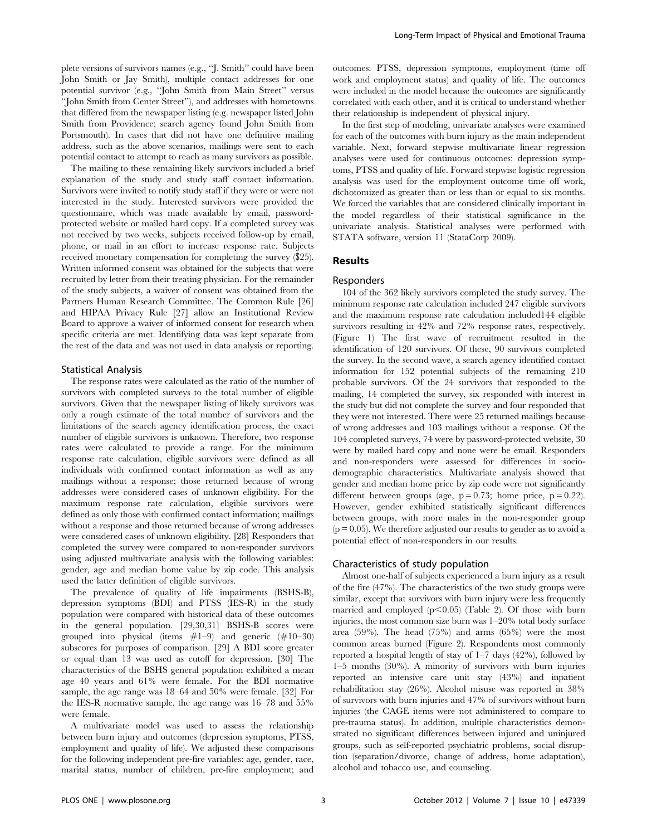plete versions of survivors names (e.g., ''J. Smith'' could have been John Smith or Jay Smith), multiple contact addresses for one potential survivor (e.g., ''John Smith from Main Street'' versus ''John Smith from Center Street''), and addresses with hometowns that differed from the newspaper listing (e.g. newspaper listed John Smith from Providence; search agency found John Smith from Portsmouth). In cases that did not have one definitive mailing address, such as the above scenarios, mailings were sent to each potential contact to attempt to reach as many survivors as possible.

The mailing to these remaining likely survivors included a brief explanation of the study and study staff contact information. Survivors were invited to notify study staff if they were or were not interested in the study. Interested survivors were provided the questionnaire, which was made available by email, passwordprotected website or mailed hard copy. If a completed survey was not received by two weeks, subjects received follow-up by email, phone, or mail in an effort to increase response rate. Subjects received monetary compensation for completing the survey (\$25). Written informed consent was obtained for the subjects that were recruited by letter from their treating physician. For the remainder of the study subjects, a waiver of consent was obtained from the Partners Human Research Committee. The Common Rule [26] and HIPAA Privacy Rule [27] allow an Institutional Review Board to approve a waiver of informed consent for research when specific criteria are met. Identifying data was kept separate from the rest of the data and was not used in data analysis or reporting.

#### Statistical Analysis

The response rates were calculated as the ratio of the number of survivors with completed surveys to the total number of eligible survivors. Given that the newspaper listing of likely survivors was only a rough estimate of the total number of survivors and the limitations of the search agency identification process, the exact number of eligible survivors is unknown. Therefore, two response rates were calculated to provide a range. For the minimum response rate calculation, eligible survivors were defined as all individuals with confirmed contact information as well as any mailings without a response; those returned because of wrong addresses were considered cases of unknown eligibility. For the maximum response rate calculation, eligible survivors were defined as only those with confirmed contact information; mailings without a response and those returned because of wrong addresses were considered cases of unknown eligibility. [28] Responders that completed the survey were compared to non-responder survivors using adjusted multivariate analysis with the following variables: gender, age and median home value by zip code. This analysis used the latter definition of eligible survivors.

The prevalence of quality of life impairments (BSHS-B), depression symptoms (BDI) and PTSS (IES-R) in the study population were compared with historical data of these outcomes in the general population. [29,30,31] BSHS-B scores were grouped into physical (items  $#1-9$ ) and generic  $(H10-30)$ subscores for purposes of comparison. [29] A BDI score greater or equal than 13 was used as cutoff for depression. [30] The characteristics of the BSHS general population exhibited a mean age 40 years and 61% were female. For the BDI normative sample, the age range was 18–64 and 50% were female. [32] For the IES-R normative sample, the age range was 16–78 and 55% were female.

A multivariate model was used to assess the relationship between burn injury and outcomes (depression symptoms, PTSS, employment and quality of life). We adjusted these comparisons for the following independent pre-fire variables: age, gender, race, marital status, number of children, pre-fire employment; and outcomes: PTSS, depression symptoms, employment (time off work and employment status) and quality of life. The outcomes were included in the model because the outcomes are significantly correlated with each other, and it is critical to understand whether their relationship is independent of physical injury.

In the first step of modeling, univariate analyses were examined for each of the outcomes with burn injury as the main independent variable. Next, forward stepwise multivariate linear regression analyses were used for continuous outcomes: depression symptoms, PTSS and quality of life. Forward stepwise logistic regression analysis was used for the employment outcome time off work, dichotomized as greater than or less than or equal to six months. We forced the variables that are considered clinically important in the model regardless of their statistical significance in the univariate analysis. Statistical analyses were performed with STATA software, version 11 (StataCorp 2009).

#### Results

#### Responders

104 of the 362 likely survivors completed the study survey. The minimum response rate calculation included 247 eligible survivors and the maximum response rate calculation included144 eligible survivors resulting in 42% and 72% response rates, respectively. (Figure 1) The first wave of recruitment resulted in the identification of 120 survivors. Of these, 90 survivors completed the survey. In the second wave, a search agency identified contact information for 152 potential subjects of the remaining 210 probable survivors. Of the 24 survivors that responded to the mailing, 14 completed the survey, six responded with interest in the study but did not complete the survey and four responded that they were not interested. There were 25 returned mailings because of wrong addresses and 103 mailings without a response. Of the 104 completed surveys, 74 were by password-protected website, 30 were by mailed hard copy and none were be email. Responders and non-responders were assessed for differences in sociodemographic characteristics. Multivariate analysis showed that gender and median home price by zip code were not significantly different between groups (age,  $p = 0.73$ ; home price,  $p = 0.22$ ). However, gender exhibited statistically significant differences between groups, with more males in the non-responder group  $(p = 0.05)$ . We therefore adjusted our results to gender as to avoid a potential effect of non-responders in our results.

#### Characteristics of study population

Almost one-half of subjects experienced a burn injury as a result of the fire (47%). The characteristics of the two study groups were similar, except that survivors with burn injury were less frequently married and employed  $(p<0.05)$  (Table 2). Of those with burn injuries, the most common size burn was 1–20% total body surface area (59%). The head (75%) and arms (65%) were the most common areas burned (Figure 2). Respondents most commonly reported a hospital length of stay of  $1-7$  days  $(42\%)$ , followed by 1–5 months (30%). A minority of survivors with burn injuries reported an intensive care unit stay (43%) and inpatient rehabilitation stay (26%). Alcohol misuse was reported in 38% of survivors with burn injuries and 47% of survivors without burn injuries (the CAGE items were not administered to compare to pre-trauma status). In addition, multiple characteristics demonstrated no significant differences between injured and uninjured groups, such as self-reported psychiatric problems, social disruption (separation/divorce, change of address, home adaptation), alcohol and tobacco use, and counseling.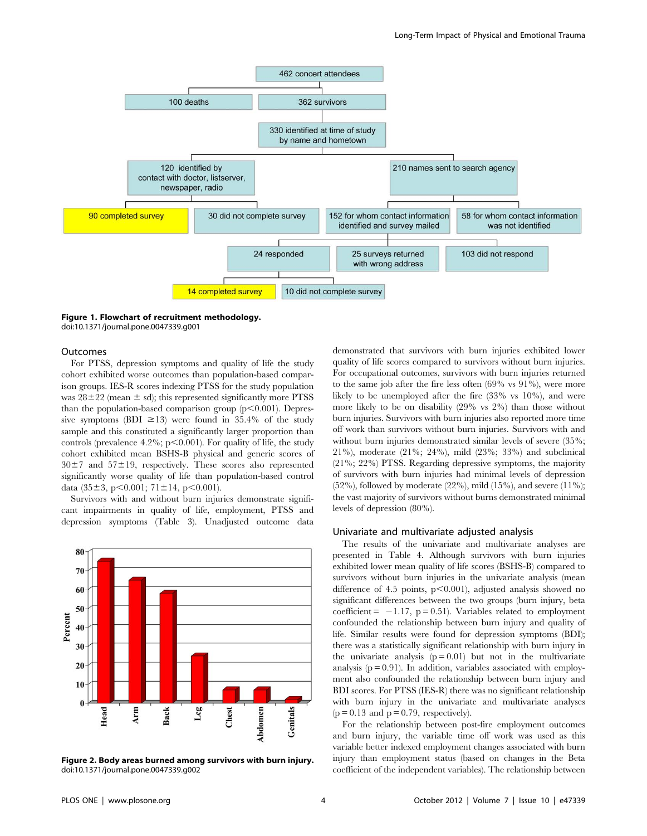

Figure 1. Flowchart of recruitment methodology. doi:10.1371/journal.pone.0047339.g001

#### Outcomes

For PTSS, depression symptoms and quality of life the study cohort exhibited worse outcomes than population-based comparison groups. IES-R scores indexing PTSS for the study population was  $28\pm22$  (mean  $\pm$  sd); this represented significantly more PTSS than the population-based comparison group  $(p<0.001)$ . Depressive symptoms (BDI  $\geq$ 13) were found in 35.4% of the study sample and this constituted a significantly larger proportion than controls (prevalence 4.2%;  $p<0.001$ ). For quality of life, the study cohort exhibited mean BSHS-B physical and generic scores of  $30±7$  and  $57±19$ , respectively. These scores also represented significantly worse quality of life than population-based control data (35 $\pm$ 3, p $\leq$ 0.001; 71 $\pm$ 14, p $\leq$ 0.001).

Survivors with and without burn injuries demonstrate significant impairments in quality of life, employment, PTSS and depression symptoms (Table 3). Unadjusted outcome data



Figure 2. Body areas burned among survivors with burn injury. doi:10.1371/journal.pone.0047339.g002

demonstrated that survivors with burn injuries exhibited lower quality of life scores compared to survivors without burn injuries. For occupational outcomes, survivors with burn injuries returned to the same job after the fire less often (69% vs 91%), were more likely to be unemployed after the fire (33% vs 10%), and were more likely to be on disability (29% vs 2%) than those without burn injuries. Survivors with burn injuries also reported more time off work than survivors without burn injuries. Survivors with and without burn injuries demonstrated similar levels of severe  $(35\%;$ 21%), moderate (21%; 24%), mild (23%; 33%) and subclinical (21%; 22%) PTSS. Regarding depressive symptoms, the majority of survivors with burn injuries had minimal levels of depression (52%), followed by moderate (22%), mild (15%), and severe (11%); the vast majority of survivors without burns demonstrated minimal levels of depression (80%).

#### Univariate and multivariate adjusted analysis

The results of the univariate and multivariate analyses are presented in Table 4. Although survivors with burn injuries exhibited lower mean quality of life scores (BSHS-B) compared to survivors without burn injuries in the univariate analysis (mean difference of 4.5 points,  $p<0.001$ ), adjusted analysis showed no significant differences between the two groups (burn injury, beta coefficient =  $-1.17$ , p = 0.51). Variables related to employment confounded the relationship between burn injury and quality of life. Similar results were found for depression symptoms (BDI); there was a statistically significant relationship with burn injury in the univariate analysis  $(p = 0.01)$  but not in the multivariate analysis  $(p = 0.91)$ . In addition, variables associated with employment also confounded the relationship between burn injury and BDI scores. For PTSS (IES-R) there was no significant relationship with burn injury in the univariate and multivariate analyses  $(p = 0.13$  and  $p = 0.79$ , respectively).

For the relationship between post-fire employment outcomes and burn injury, the variable time off work was used as this variable better indexed employment changes associated with burn injury than employment status (based on changes in the Beta coefficient of the independent variables). The relationship between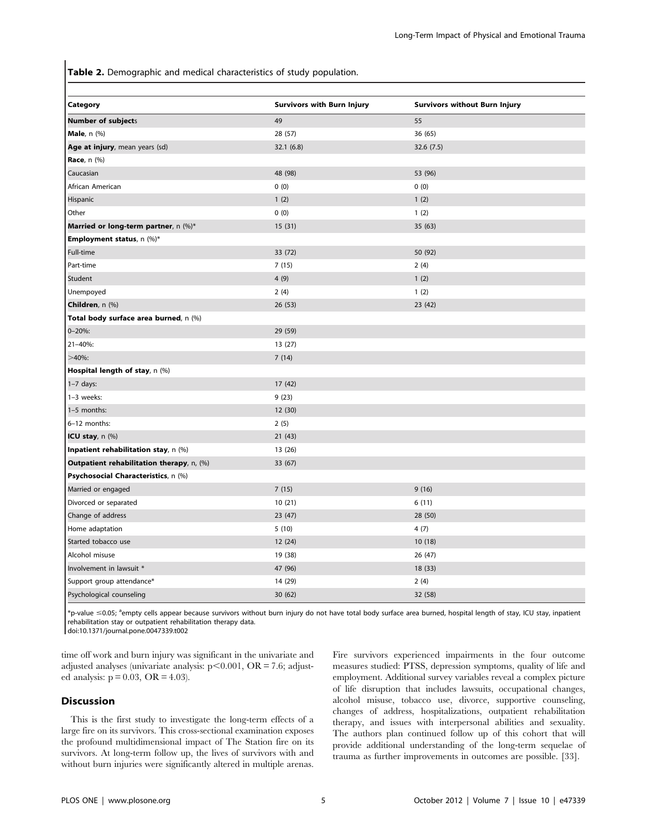Table 2. Demographic and medical characteristics of study population.

| Category                                  | <b>Survivors with Burn Injury</b> | <b>Survivors without Burn Injury</b> |
|-------------------------------------------|-----------------------------------|--------------------------------------|
| <b>Number of subjects</b>                 | 49                                | 55                                   |
| <b>Male</b> , n (%)                       | 28 (57)                           | 36 (65)                              |
| Age at injury, mean years (sd)            | 32.1(6.8)                         | 32.6(7.5)                            |
| <b>Race</b> , n (%)                       |                                   |                                      |
| Caucasian                                 | 48 (98)                           | 53 (96)                              |
| African American                          | 0(0)                              | 0(0)                                 |
| Hispanic                                  | 1(2)                              | 1(2)                                 |
| Other                                     | 0(0)                              | 1(2)                                 |
| Married or long-term partner, n (%)*      | 15(31)                            | 35(63)                               |
| <b>Employment status</b> , n (%)*         |                                   |                                      |
| Full-time                                 | 33 (72)                           | 50 (92)                              |
| Part-time                                 | 7(15)                             | 2(4)                                 |
| Student                                   | 4(9)                              | 1(2)                                 |
| Unempoyed                                 | 2(4)                              | 1(2)                                 |
| Children, n (%)                           | 26(53)                            | 23(42)                               |
| Total body surface area burned, n (%)     |                                   |                                      |
| $0 - 20\%$ :                              | 29 (59)                           |                                      |
| $21 - 40\%$ :                             | 13 (27)                           |                                      |
| $>40\%$ :                                 | 7(14)                             |                                      |
| Hospital length of stay, n (%)            |                                   |                                      |
| $1-7$ days:                               | 17 (42)                           |                                      |
| 1-3 weeks:                                | 9(23)                             |                                      |
| 1-5 months:                               | 12 (30)                           |                                      |
| 6-12 months:                              | 2(5)                              |                                      |
| ICU stay, n (%)                           | 21(43)                            |                                      |
| Inpatient rehabilitation stay, n (%)      | 13 (26)                           |                                      |
| Outpatient rehabilitation therapy, n, (%) | 33 (67)                           |                                      |
| Psychosocial Characteristics, n (%)       |                                   |                                      |
| Married or engaged                        | 7(15)                             | 9(16)                                |
| Divorced or separated                     | 10(21)                            | 6(11)                                |
| Change of address                         | 23 (47)                           | 28 (50)                              |
| Home adaptation                           | 5(10)                             | 4(7)                                 |
| Started tobacco use                       | 12(24)                            | 10(18)                               |
| Alcohol misuse                            | 19 (38)                           | 26(47)                               |
| Involvement in lawsuit *                  | 47 (96)                           | 18 (33)                              |
| Support group attendance*                 | 14 (29)                           | 2(4)                                 |
| Psychological counseling                  | 30(62)                            | 32 (58)                              |

\*p-value ≤0.05; <sup>a</sup>empty cells appear because survivors without burn injury do not have total body surface area burned, hospital length of stay, ICU stay, inpatient rehabilitation stay or outpatient rehabilitation therapy data.

doi:10.1371/journal.pone.0047339.t002

time off work and burn injury was significant in the univariate and adjusted analyses (univariate analysis:  $p<0.001$ , OR = 7.6; adjusted analysis:  $p = 0.03$ , OR = 4.03).

#### Discussion

This is the first study to investigate the long-term effects of a large fire on its survivors. This cross-sectional examination exposes the profound multidimensional impact of The Station fire on its survivors. At long-term follow up, the lives of survivors with and without burn injuries were significantly altered in multiple arenas.

Fire survivors experienced impairments in the four outcome measures studied: PTSS, depression symptoms, quality of life and employment. Additional survey variables reveal a complex picture of life disruption that includes lawsuits, occupational changes, alcohol misuse, tobacco use, divorce, supportive counseling, changes of address, hospitalizations, outpatient rehabilitation therapy, and issues with interpersonal abilities and sexuality. The authors plan continued follow up of this cohort that will provide additional understanding of the long-term sequelae of trauma as further improvements in outcomes are possible. [33].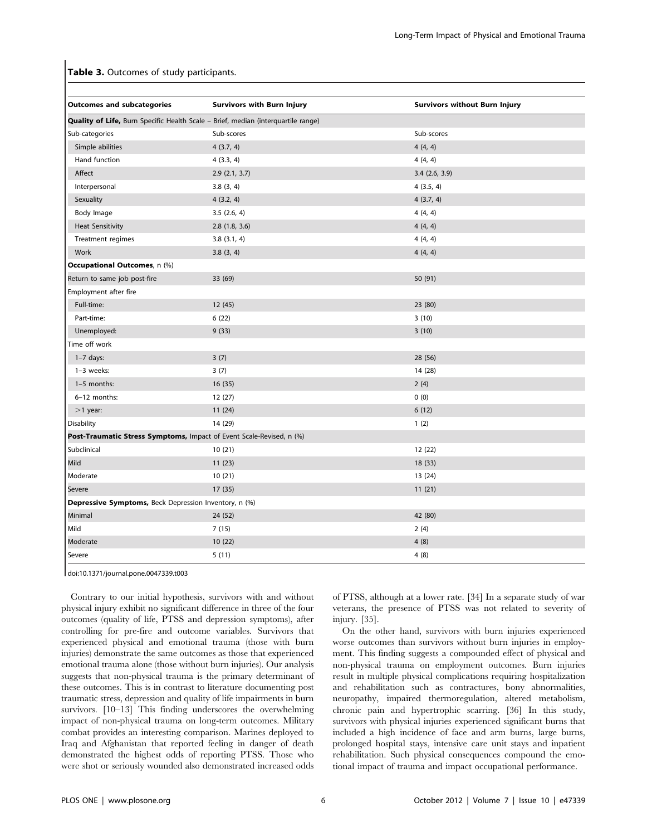#### Table 3. Outcomes of study participants.

| <b>Outcomes and subcategories</b>                                                        | <b>Survivors with Burn Injury</b> | <b>Survivors without Burn Injury</b> |
|------------------------------------------------------------------------------------------|-----------------------------------|--------------------------------------|
| <b>Quality of Life, Burn Specific Health Scale - Brief, median (interquartile range)</b> |                                   |                                      |
| Sub-categories                                                                           | Sub-scores                        | Sub-scores                           |
| Simple abilities                                                                         | 4(3.7, 4)                         | 4(4, 4)                              |
| Hand function                                                                            | 4(3.3, 4)                         | 4(4, 4)                              |
| Affect                                                                                   | 2.9(2.1, 3.7)                     | $3.4$ (2.6, 3.9)                     |
| Interpersonal                                                                            | 3.8(3, 4)                         | 4(3.5, 4)                            |
| Sexuality                                                                                | 4(3.2, 4)                         | 4(3.7, 4)                            |
| Body Image                                                                               | 3.5(2.6, 4)                       | 4(4, 4)                              |
| <b>Heat Sensitivity</b>                                                                  | 2.8(1.8, 3.6)                     | 4(4, 4)                              |
| Treatment regimes                                                                        | 3.8(3.1, 4)                       | 4(4, 4)                              |
| Work                                                                                     | 3.8(3, 4)                         | 4(4, 4)                              |
| <b>Occupational Outcomes</b> , n (%)                                                     |                                   |                                      |
| Return to same job post-fire                                                             | 33 (69)                           | 50 (91)                              |
| Employment after fire                                                                    |                                   |                                      |
| Full-time:                                                                               | 12(45)                            | 23 (80)                              |
| Part-time:                                                                               | 6(22)                             | 3(10)                                |
| Unemployed:                                                                              | 9(33)                             | 3(10)                                |
| Time off work                                                                            |                                   |                                      |
| $1-7$ days:                                                                              | 3(7)                              | 28 (56)                              |
| $1-3$ weeks:                                                                             | 3(7)                              | 14 (28)                              |
| 1-5 months:                                                                              | 16(35)                            | 2(4)                                 |
| 6-12 months:                                                                             | 12(27)                            | 0(0)                                 |
| $>1$ year:                                                                               | 11(24)                            | 6(12)                                |
| <b>Disability</b>                                                                        | 14 (29)                           | 1(2)                                 |
| Post-Traumatic Stress Symptoms, Impact of Event Scale-Revised, n (%)                     |                                   |                                      |
| Subclinical                                                                              | 10(21)                            | 12(22)                               |
| Mild                                                                                     | 11(23)                            | 18(33)                               |
| Moderate                                                                                 | 10(21)                            | 13 (24)                              |
| Severe                                                                                   | 17(35)                            | 11(21)                               |
| Depressive Symptoms, Beck Depression Inventory, n (%)                                    |                                   |                                      |
| Minimal                                                                                  | 24 (52)                           | 42 (80)                              |
| Mild                                                                                     | 7(15)                             | 2(4)                                 |
| Moderate                                                                                 | 10(22)                            | 4(8)                                 |
| Severe                                                                                   | 5(11)                             | 4(8)                                 |

doi:10.1371/journal.pone.0047339.t003

Contrary to our initial hypothesis, survivors with and without physical injury exhibit no significant difference in three of the four outcomes (quality of life, PTSS and depression symptoms), after controlling for pre-fire and outcome variables. Survivors that experienced physical and emotional trauma (those with burn injuries) demonstrate the same outcomes as those that experienced emotional trauma alone (those without burn injuries). Our analysis suggests that non-physical trauma is the primary determinant of these outcomes. This is in contrast to literature documenting post traumatic stress, depression and quality of life impairments in burn survivors. [10–13] This finding underscores the overwhelming impact of non-physical trauma on long-term outcomes. Military combat provides an interesting comparison. Marines deployed to Iraq and Afghanistan that reported feeling in danger of death demonstrated the highest odds of reporting PTSS. Those who were shot or seriously wounded also demonstrated increased odds of PTSS, although at a lower rate. [34] In a separate study of war veterans, the presence of PTSS was not related to severity of injury. [35].

On the other hand, survivors with burn injuries experienced worse outcomes than survivors without burn injuries in employment. This finding suggests a compounded effect of physical and non-physical trauma on employment outcomes. Burn injuries result in multiple physical complications requiring hospitalization and rehabilitation such as contractures, bony abnormalities, neuropathy, impaired thermoregulation, altered metabolism, chronic pain and hypertrophic scarring. [36] In this study, survivors with physical injuries experienced significant burns that included a high incidence of face and arm burns, large burns, prolonged hospital stays, intensive care unit stays and inpatient rehabilitation. Such physical consequences compound the emotional impact of trauma and impact occupational performance.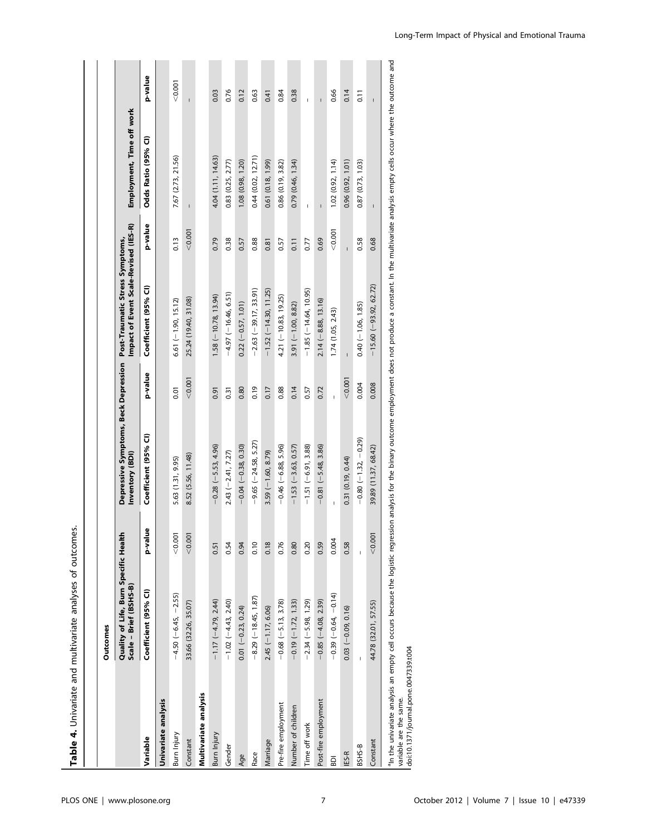Table 4. Univariate and multivariate analyses of outcomes. Table 4. Univariate and multivariate analyses of outcomes.

|                       | Outcomes                                                        |             |                                                                                                                                                                                                                              |         |                                                                                                               |         |                           |                    |
|-----------------------|-----------------------------------------------------------------|-------------|------------------------------------------------------------------------------------------------------------------------------------------------------------------------------------------------------------------------------|---------|---------------------------------------------------------------------------------------------------------------|---------|---------------------------|--------------------|
|                       | Quality of Life, Burn Specific Healtl<br>Scale - Brief (BSHS-B) |             | Inventory (BDI)                                                                                                                                                                                                              |         | Impact of Event Scale-Revised (IES-R)<br>Depressive Symptoms, Beck Depression Post-Traumatic Stress Symptoms, |         | Employment, Time off work |                    |
| Variable              | Coefficient (95% CI)                                            | g<br>lisv-q | Coefficient (95% CI)                                                                                                                                                                                                         | p-value | Coefficient (95% CI)                                                                                          | p-value | Odds Ratio (95% Cl)       | p-value            |
| Univariate analysis   |                                                                 |             |                                                                                                                                                                                                                              |         |                                                                                                               |         |                           |                    |
| Burn Injury           | $-4.50(-6.45, -2.55)$                                           | < 0.001     | 5.63 (1.31, 9.95)                                                                                                                                                                                                            | 0.01    | $6.61(-1.90, 15.12)$                                                                                          | 0.13    | 7.67 (2.73, 21.56)        | < 0.001            |
| Constant              | 33.66 (32.26, 35.07)                                            | < 0.001     | 8.52 (5.56, 11.48)                                                                                                                                                                                                           | < 0.001 | 25.24 (19.40, 31.08)                                                                                          | < 0.001 |                           |                    |
| Multivariate analysis |                                                                 |             |                                                                                                                                                                                                                              |         |                                                                                                               |         |                           |                    |
| Burn Injury           | $-1.17 (-4.79, 2.44)$                                           | 0.51        | $-0.28(-5.53, 4.96)$                                                                                                                                                                                                         | 0.91    | $1.58(-10.78, 13.94)$                                                                                         | 0.79    | 4.04 (1.11, 14.63)        | 0.03               |
| Gender                | $-1.02(-4.43, 2.40)$                                            | 0.54        | $2.43 (-2.41, 7.27)$                                                                                                                                                                                                         | 0.31    | $-4.97$ (-16.46, 6.51)                                                                                        | 0.38    | $0.83$ $(0.25, 2.77)$     | 0.76               |
| Age                   | $0.01 (-0.23, 0.24)$                                            | 0.94        | $-0.04$ ( $-0.38$ , 0.30)                                                                                                                                                                                                    | 0.80    | $0.22(-0.57, 1.01)$                                                                                           | 0.57    | 1.08 (0.98, 1.20)         | 0.12               |
| Race                  | $-8.29(-18.45, 1.87)$                                           | 0.10        | $-9.65$ ( $-24.58$ , 5.27)                                                                                                                                                                                                   | 0.19    | $-2.63$ ( $-39.17$ , 33.91)                                                                                   | 0.88    | 0.44(0.02, 12.71)         | 0.63               |
| Marriage              | $2.45 (-1.17, 6.06)$                                            | 0.18        | $3.59$ (-1.60, 8.79)                                                                                                                                                                                                         | 0.17    | $-1.52(-14.30, 11.25)$                                                                                        | 0.81    | 0.61(0.18, 1.99)          | 0.41               |
| Pre-fire employment   | $-0.68(-5.13, 3.78)$                                            | 0.76        | $-0.46$ ( $-6.88, 5.96$ )                                                                                                                                                                                                    | 0.88    | $4.21(-10.83, 19.25)$                                                                                         | 0.57    | 0.86(0.19, 3.82)          | 0.84               |
| Number of children    | $-0.19(-1.72, 1.33)$                                            | 0.80        | $-1.53$ $(-3.63, 0.57)$                                                                                                                                                                                                      | 0.14    | $3.91 (-1.00, 8.82)$                                                                                          | 0.11    | 0.79(0.46, 1.34)          | 0.38               |
| Time off work         | $-2.34(-5.98, 1.29)$                                            | 0.20        | $-1.51(-6.91, 3.88)$                                                                                                                                                                                                         | 0.57    | $-1.85(-14.64, 10.95)$                                                                                        | 0.77    |                           | Ţ                  |
| Post-fire employment  | $-0.85(-4.08, 2.39)$                                            | 0.59        | $-0.81 (-5.48, 3.86)$                                                                                                                                                                                                        | 0.72    | $2.14(-8.88, 13.16)$                                                                                          | 0.69    | $\overline{1}$            | Ĭ.                 |
| ā                     | $-0.39(-0.64, -0.14)$                                           | 0.004       |                                                                                                                                                                                                                              | Ï       | 1.74(1.05, 2.43)                                                                                              | < 0.001 | 1.02(0.92, 1.14)          | 0.66               |
| IES-R                 | $0.03 (-0.09, 0.16)$                                            | 0.58        | 0.31(0.19, 0.44)                                                                                                                                                                                                             | < 0.001 |                                                                                                               |         | 0.96(0.92, 1.01)          | 0.14               |
| BSHS-B                |                                                                 |             | $-0.80(-1.32, -0.29)$                                                                                                                                                                                                        | 0.004   | $0.40(-1.06, 1.85)$                                                                                           | 0.58    | 0.87 (0.73, 1.03)         | $\overline{0}$ .11 |
| Constant              | 44.78 (32.01, 57.55)                                            | < 0.001     | 39.89 (11.37, 68.42)                                                                                                                                                                                                         | 0.008   | $-15.60 (-93.92, 62.72)$                                                                                      | 0.68    | $\overline{\phantom{a}}$  | $\mathsf{I}$       |
|                       |                                                                 |             | an the univariate analysis an empty cell occurs because the logistic regression analysis for the binary outcome employment does not produce a constant. In the multivariate analysis empty cells occur where the outcome and |         |                                                                                                               |         |                           |                    |

variable are the same.<br>I doi:10.1371/journal.pone.0047339.t004 variable are the same.

doi:10.1371/journal.pone.0047339.t004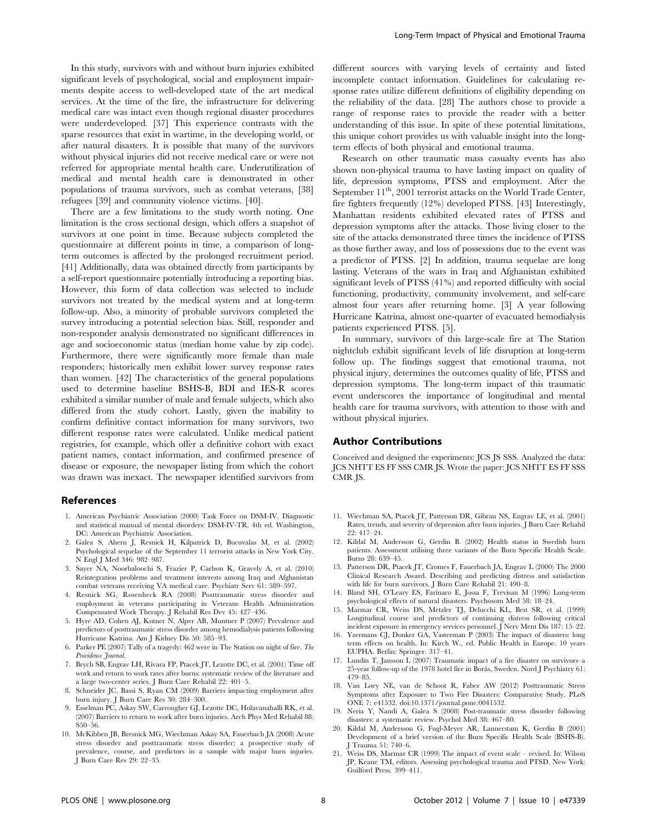In this study, survivors with and without burn injuries exhibited significant levels of psychological, social and employment impairments despite access to well-developed state of the art medical services. At the time of the fire, the infrastructure for delivering medical care was intact even though regional disaster procedures were underdeveloped. [37] This experience contrasts with the sparse resources that exist in wartime, in the developing world, or after natural disasters. It is possible that many of the survivors without physical injuries did not receive medical care or were not referred for appropriate mental health care. Underutilization of medical and mental health care is demonstrated in other populations of trauma survivors, such as combat veterans, [38] refugees [39] and community violence victims. [40].

There are a few limitations to the study worth noting. One limitation is the cross sectional design, which offers a snapshot of survivors at one point in time. Because subjects completed the questionnaire at different points in time, a comparison of longterm outcomes is affected by the prolonged recruitment period. [41] Additionally, data was obtained directly from participants by a self-report questionnaire potentially introducing a reporting bias. However, this form of data collection was selected to include survivors not treated by the medical system and at long-term follow-up. Also, a minority of probable survivors completed the survey introducing a potential selection bias. Still, responder and non-responder analysis demonstrated no significant differences in age and socioeconomic status (median home value by zip code). Furthermore, there were significantly more female than male responders; historically men exhibit lower survey response rates than women. [42] The characteristics of the general populations used to determine baseline BSHS-B, BDI and IES-R scores exhibited a similar number of male and female subjects, which also differed from the study cohort. Lastly, given the inability to confirm definitive contact information for many survivors, two different response rates were calculated. Unlike medical patient registries, for example, which offer a definitive cohort with exact patient names, contact information, and confirmed presence of disease or exposure, the newspaper listing from which the cohort was drawn was inexact. The newspaper identified survivors from

#### References

- 1. American Psychiatric Association (2000) Task Force on DSM-IV. Diagnostic and statistical manual of mental disorders: DSM-IV-TR. 4th ed. Washington, DC: American Psychiatric Association.
- 2. Galea S, Ahern J, Resnick H, Kilpatrick D, Bucuvalas M, et al. (2002) Psychological sequelae of the September 11 terrorist attacks in New York City. N Engl J Med 346: 982–987.
- 3. Sayer NA, Noorbaloochi S, Frazier P, Carlson K, Gravely A, et al. (2010) Reintegration problems and treatment interests among Iraq and Afghanistan combat veterans receiving VA medical care. Psychiatr Serv 61: 589–597.
- 4. Resnick SG, Rosenheck RA (2008) Posttraumatic stress disorder and employment in veterans participating in Veterans Health Administration Compensated Work Therapy. J Rehabil Res Dev 45: 427–436.
- 5. Hyre AD, Cohen AJ, Kutner N, Alper AB, Muntner P (2007) Prevalence and predictors of posttraumatic stress disorder among hemodialysis patients following Hurricane Katrina. Am J Kidney Dis 50: 585–93.
- 6. Parker PE (2007) Tally of a tragedy:  $462$  were in The Station on night of fire.  $\mathit{The}$ Providence Tournal.
- 7. Brych SB, Engrav LH, Rivara FP, Ptacek JT, Lezotte DC, et al. (2001) Time off work and return to work rates after burns: systematic review of the literature and a large two-center series. J Burn Care Rehabil 22: 401–5.
- 8. Schneider JC, Bassi S, Ryan CM (2009) Barriers impacting employment after burn injury. J Burn Care Res 30: 284–300.
- 9. Esselman PC, Askay SW, Carrougher GJ, Lezotte DC, Holavanahalli RK, et al. (2007) Barriers to return to work after burn injuries. Arch Phys Med Rehabil 88: S50–56.
- 10. McKibben JB, Bresnick MG, Wiechman Askay SA, Fauerbach JA (2008) Acute stress disorder and posttraumatic stress disorder; a prospective study of prevalence, course, and predictors in a sample with major burn injuries. J Burn Care Res 29: 22–35.

different sources with varying levels of certainty and listed incomplete contact information. Guidelines for calculating response rates utilize different definitions of eligibility depending on the reliability of the data. [28] The authors chose to provide a range of response rates to provide the reader with a better understanding of this issue. In spite of these potential limitations, this unique cohort provides us with valuable insight into the longterm effects of both physical and emotional trauma.

Research on other traumatic mass casualty events has also shown non-physical trauma to have lasting impact on quality of life, depression symptoms, PTSS and employment. After the September  $11^{\text{th}}$ , 2001 terrorist attacks on the World Trade Center, fire fighters frequently (12%) developed PTSS. [43] Interestingly, Manhattan residents exhibited elevated rates of PTSS and depression symptoms after the attacks. Those living closer to the site of the attacks demonstrated three times the incidence of PTSS as those further away, and loss of possessions due to the event was a predictor of PTSS. [2] In addition, trauma sequelae are long lasting. Veterans of the wars in Iraq and Afghanistan exhibited significant levels of PTSS (41%) and reported difficulty with social functioning, productivity, community involvement, and self-care almost four years after returning home. [3] A year following Hurricane Katrina, almost one-quarter of evacuated hemodialysis patients experienced PTSS. [5].

In summary, survivors of this large-scale fire at The Station nightclub exhibit significant levels of life disruption at long-term follow up. The findings suggest that emotional trauma, not physical injury, determines the outcomes quality of life, PTSS and depression symptoms. The long-term impact of this traumatic event underscores the importance of longitudinal and mental health care for trauma survivors, with attention to those with and without physical injuries.

#### Author Contributions

Conceived and designed the experiments: JCS JS SSS. Analyzed the data: JCS NHTT ES FF SSS CMR JS. Wrote the paper: JCS NHTT ES FF SSS CMR JS.

- 11. Wiechman SA, Ptacek JT, Patterson DR, Gibran NS, Engrav LE, et al. (2001) Rates, trends, and severity of depression after burn injuries. J Burn Care Rehabil 22: 417–24.
- 12. Kildal M, Andersson G, Gerdin B. (2002) Health status in Swedish burn patients. Assessment utilising three variants of the Burn Specific Health Scale. Burns 28: 639–45.
- 13. Patterson DR, Ptacek JT, Cromes F, Fauerbach JA, Engrav L (2000) The 2000 Clinical Research Award. Describing and predicting distress and satisfaction with life for burn survivors. J Burn Care Rehabil 21: 490–8.
- 14. Bland SH, O'Leary ES, Farinaro E, Jossa F, Trevisan M (1996) Long-term psychological effects of natural disasters. Psychosom Med 58: 18–24.
- 15. Marmar CR, Weiss DS, Metzler TJ, Delucchi KL, Best SR, et al. (1999) Longitudinal course and predictors of continuing distress following critical incident exposure in emergency services personnel. J Nerv Ment Dis 187: 15–22.
- 16. Yzermans CJ, Donker GA, Vasterman P (2003) The impact of disasters: long term effects on health. In: Kirch W., ed. Public Health in Europe. 10 years EUPHA. Berlin: Springer. 317–41.
- 17. Lundin T, Jansson L (2007) Traumatic impact of a fire disaster on survivors–a 25-year follow-up of the 1978 hotel fire in Borås, Sweden. Nord J Psychiatry 61: 479–85.
- 18. Van Loey NE, van de Schoot R, Faber AW (2012) Posttraumatic Stress Symptoms after Exposure to Two Fire Disasters: Comparative Study. PLoS ONE 7: e41532. doi:10.1371/journal.pone.0041532.
- 19. Neria Y, Nandi A, Galea S (2008) Post-traumatic stress disorder following disasters: a systematic review. Psychol Med 38: 467–80.
- 20. Kildal M, Andersson G, Fugl-Meyer AR, Lannerstam K, Gerdin B (2001) Development of a brief version of the Burn Specific Health Scale (BSHS-B). J Trauma 51: 740–6.
- 21. Weiss DS, Marmar CR (1999) The impact of event scale revised. In: Wilson JP, Keane TM, editors. Assessing psychological trauma and PTSD. New York: Guilford Press. 399–411.